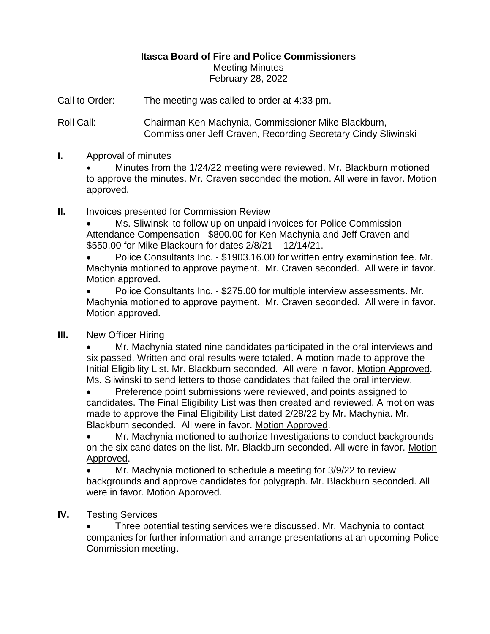# **Itasca Board of Fire and Police Commissioners** Meeting Minutes February 28, 2022

Call to Order: The meeting was called to order at 4:33 pm.

Roll Call: Chairman Ken Machynia, Commissioner Mike Blackburn, Commissioner Jeff Craven, Recording Secretary Cindy Sliwinski

## **I.** Approval of minutes

• Minutes from the 1/24/22 meeting were reviewed. Mr. Blackburn motioned to approve the minutes. Mr. Craven seconded the motion. All were in favor. Motion approved.

## **II.** Invoices presented for Commission Review

• Ms. Sliwinski to follow up on unpaid invoices for Police Commission Attendance Compensation - \$800.00 for Ken Machynia and Jeff Craven and \$550.00 for Mike Blackburn for dates 2/8/21 – 12/14/21.

• Police Consultants Inc. - \$1903.16.00 for written entry examination fee. Mr. Machynia motioned to approve payment. Mr. Craven seconded. All were in favor. Motion approved.

• Police Consultants Inc. - \$275.00 for multiple interview assessments. Mr. Machynia motioned to approve payment. Mr. Craven seconded. All were in favor. Motion approved.

## **III.** New Officer Hiring

• Mr. Machynia stated nine candidates participated in the oral interviews and six passed. Written and oral results were totaled. A motion made to approve the Initial Eligibility List. Mr. Blackburn seconded. All were in favor. Motion Approved. Ms. Sliwinski to send letters to those candidates that failed the oral interview.

• Preference point submissions were reviewed, and points assigned to candidates. The Final Eligibility List was then created and reviewed. A motion was made to approve the Final Eligibility List dated 2/28/22 by Mr. Machynia. Mr. Blackburn seconded. All were in favor. Motion Approved.

• Mr. Machynia motioned to authorize Investigations to conduct backgrounds on the six candidates on the list. Mr. Blackburn seconded. All were in favor. Motion Approved.

• Mr. Machynia motioned to schedule a meeting for 3/9/22 to review backgrounds and approve candidates for polygraph. Mr. Blackburn seconded. All were in favor. Motion Approved.

## **IV.** Testing Services

• Three potential testing services were discussed. Mr. Machynia to contact companies for further information and arrange presentations at an upcoming Police Commission meeting.